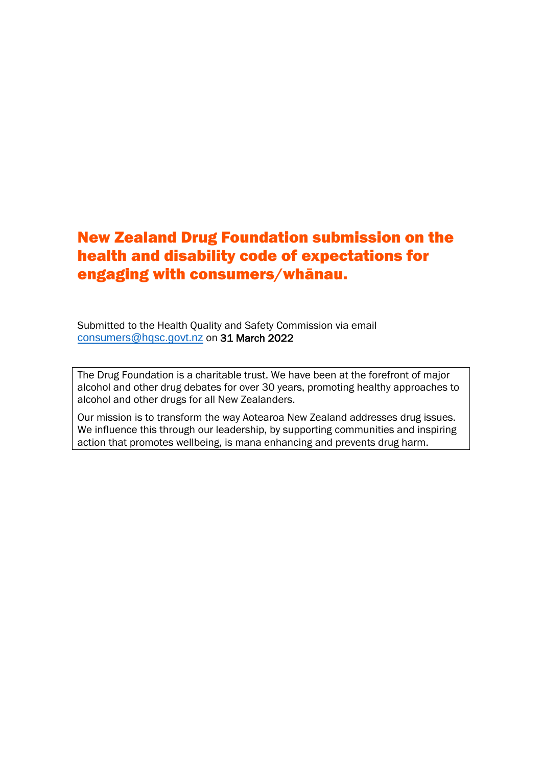# New Zealand Drug Foundation submission on the health and disability code of expectations for engaging with consumers/whānau.

Submitted to the Health Quality and Safety Commission via email [consumers@hqsc.govt.nz](mailto:consumers@hqsc.govt.nz) on 31 March 2022

The Drug Foundation is a charitable trust. We have been at the forefront of major alcohol and other drug debates for over 30 years, promoting healthy approaches to alcohol and other drugs for all New Zealanders.

Our mission is to transform the way Aotearoa New Zealand addresses drug issues. We influence this through our leadership, by supporting communities and inspiring action that promotes wellbeing, is mana enhancing and prevents drug harm.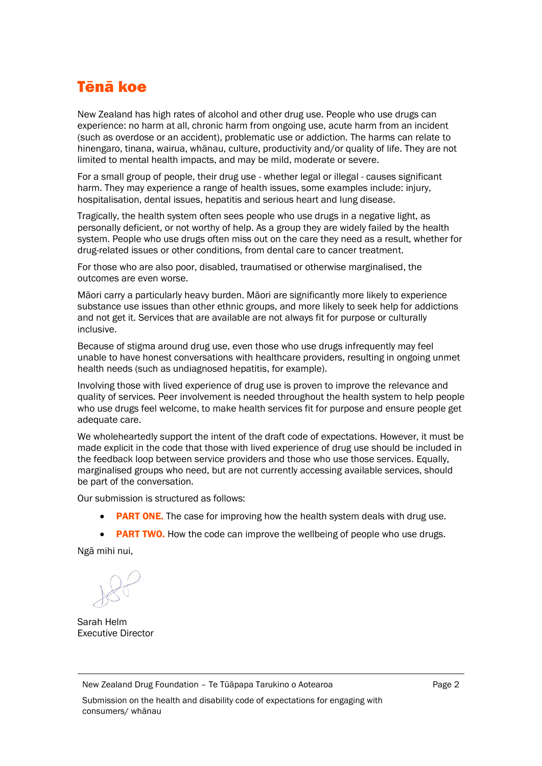# Tēnā koe

New Zealand has high rates of alcohol and other drug use. People who use drugs can experience: no harm at all, chronic harm from ongoing use, acute harm from an incident (such as overdose or an accident), problematic use or addiction. The harms can relate to hinengaro, tinana, wairua, whānau, culture, productivity and/or quality of life. They are not limited to mental health impacts, and may be mild, moderate or severe.

For a small group of people, their drug use - whether legal or illegal - causes significant harm. They may experience a range of health issues, some examples include: injury, hospitalisation, dental issues, hepatitis and serious heart and lung disease.

Tragically, the health system often sees people who use drugs in a negative light, as personally deficient, or not worthy of help. As a group they are widely failed by the health system. People who use drugs often miss out on the care they need as a result, whether for drug-related issues or other conditions, from dental care to cancer treatment.

For those who are also poor, disabled, traumatised or otherwise marginalised, the outcomes are even worse.

Māori carry a particularly heavy burden. Māori are significantly more likely to experience substance use issues than other ethnic groups, and more likely to seek help for addictions and not get it. Services that are available are not always fit for purpose or culturally inclusive.

Because of stigma around drug use, even those who use drugs infrequently may feel unable to have honest conversations with healthcare providers, resulting in ongoing unmet health needs (such as undiagnosed hepatitis, for example).

Involving those with lived experience of drug use is proven to improve the relevance and quality of services. Peer involvement is needed throughout the health system to help people who use drugs feel welcome, to make health services fit for purpose and ensure people get adequate care.

We wholeheartedly support the intent of the draft code of expectations. However, it must be made explicit in the code that those with lived experience of drug use should be included in the feedback loop between service providers and those who use those services. Equally, marginalised groups who need, but are not currently accessing available services, should be part of the conversation.

Our submission is structured as follows:

- PART ONE. The case for improving how the health system deals with drug use.
- PART TWO. How the code can improve the wellbeing of people who use drugs.

Ngā mihi nui,

Sarah Helm Executive Director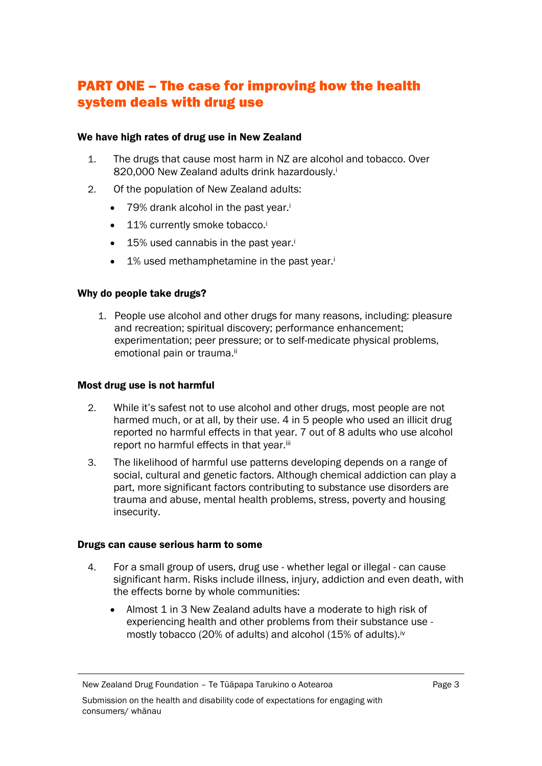## PART ONE – The case for improving how the health system deals with drug use

### We have high rates of drug use in New Zealand

- 1. The drugs that cause most harm in NZ are alcohol and tobacco. Over 820,000 New Zealand adults drink hazardously.<sup>i</sup>
- 2. Of the population of New Zealand adults:
	- 79% drank alcohol in the past year.<sup>i</sup>
	- 11% currently smoke tobacco.<sup>i</sup>
	- 15% used cannabis in the past year.<sup>i</sup>
	- 1% used methamphetamine in the past year.<sup>i</sup>

### Why do people take drugs?

1. People use alcohol and other drugs for many reasons, including: pleasure and recreation; spiritual discovery; performance enhancement; experimentation; peer pressure; or to self-medicate physical problems, emotional pain or trauma.ii

### Most drug use is not harmful

- 2. While it's safest not to use alcohol and other drugs, most people are not harmed much, or at all, by their use. 4 in 5 people who used an illicit drug reported no harmful effects in that year. 7 out of 8 adults who use alcohol report no harmful effects in that year.iii
- 3. The likelihood of harmful use patterns developing depends on a range of social, cultural and genetic factors. Although chemical addiction can play a part, more significant factors contributing to substance use disorders are trauma and abuse, mental health problems, stress, poverty and housing insecurity.

### Drugs can cause serious harm to some

- 4. For a small group of users, drug use whether legal or illegal can cause significant harm. Risks include illness, injury, addiction and even death, with the effects borne by whole communities:
	- Almost 1 in 3 New Zealand adults have a moderate to high risk of experiencing health and other problems from their substance use mostly tobacco (20% of adults) and alcohol (15% of adults).<sup>iv</sup>

New Zealand Drug Foundation – Te Tūāpapa Tarukino o Aotearoa

Submission on the health and disability code of expectations for engaging with consumers/ whānau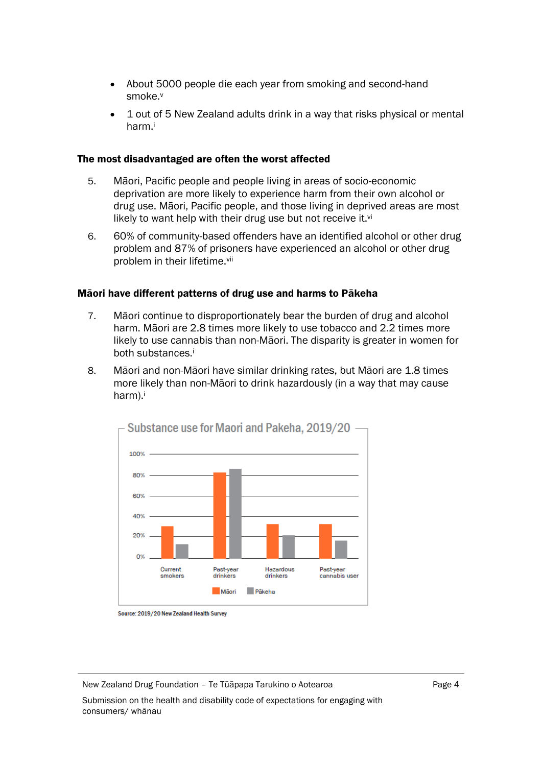- About 5000 people die each year from smoking and second-hand smoke.<sup>v</sup>
- 1 out of 5 New Zealand adults drink in a way that risks physical or mental harm.<sup>i</sup>

### The most disadvantaged are often the worst affected

- 5. Māori, Pacific people and people living in areas of socio-economic deprivation are more likely to experience harm from their own alcohol or drug use. Māori, Pacific people, and those living in deprived areas are most likely to want help with their drug use but not receive it. $vi$
- 6. 60% of community-based offenders have an identified alcohol or other drug problem and 87% of prisoners have experienced an alcohol or other drug problem in their lifetime.vii

### Māori have different patterns of drug use and harms to Pākeha

- 7. Māori continue to disproportionately bear the burden of drug and alcohol harm. Māori are 2.8 times more likely to use tobacco and 2.2 times more likely to use cannabis than non-Māori. The disparity is greater in women for both substances.<sup>i</sup>
- 8. Māori and non-Māori have similar drinking rates, but Māori are 1.8 times more likely than non-Māori to drink hazardously (in a way that may cause harm).i



Source: 2019/20 New Zealand Health Survey

New Zealand Drug Foundation – Te Tūāpapa Tarukino o Aotearoa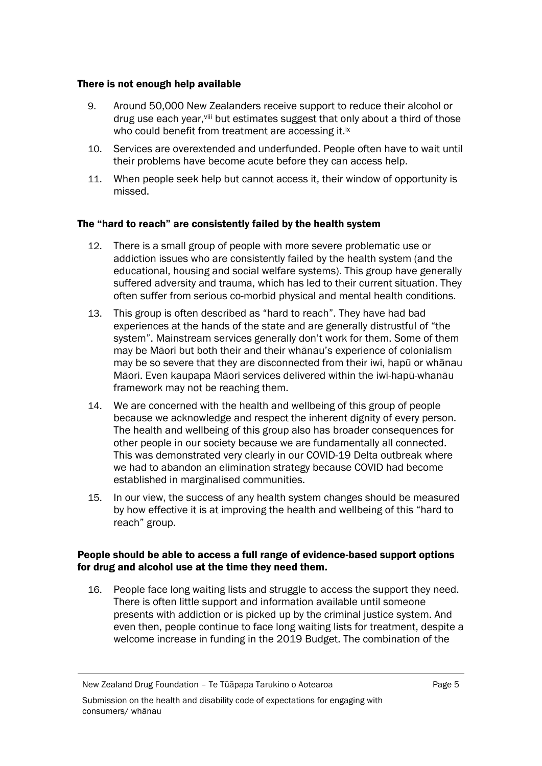### There is not enough help available

- 9. Around 50,000 New Zealanders receive support to reduce their alcohol or drug use each year, Vill but estimates suggest that only about a third of those who could benefit from treatment are accessing it.<sup>ix</sup>
- 10. Services are overextended and underfunded. People often have to wait until their problems have become acute before they can access help.
- 11. When people seek help but cannot access it, their window of opportunity is missed.

### The "hard to reach" are consistently failed by the health system

- 12. There is a small group of people with more severe problematic use or addiction issues who are consistently failed by the health system (and the educational, housing and social welfare systems). This group have generally suffered adversity and trauma, which has led to their current situation. They often suffer from serious co-morbid physical and mental health conditions.
- 13. This group is often described as "hard to reach". They have had bad experiences at the hands of the state and are generally distrustful of "the system". Mainstream services generally don't work for them. Some of them may be Māori but both their and their whānau's experience of colonialism may be so severe that they are disconnected from their iwi, hapū or whānau Māori. Even kaupapa Māori services delivered within the iwi-hapū-whanāu framework may not be reaching them.
- 14. We are concerned with the health and wellbeing of this group of people because we acknowledge and respect the inherent dignity of every person. The health and wellbeing of this group also has broader consequences for other people in our society because we are fundamentally all connected. This was demonstrated very clearly in our COVID-19 Delta outbreak where we had to abandon an elimination strategy because COVID had become established in marginalised communities.
- 15. In our view, the success of any health system changes should be measured by how effective it is at improving the health and wellbeing of this "hard to reach" group.

### People should be able to access a full range of evidence-based support options for drug and alcohol use at the time they need them.

16. People face long waiting lists and struggle to access the support they need. There is often little support and information available until someone presents with addiction or is picked up by the criminal justice system. And even then, people continue to face long waiting lists for treatment, despite a welcome increase in funding in the 2019 Budget. The combination of the

New Zealand Drug Foundation – Te Tūāpapa Tarukino o Aotearoa

Submission on the health and disability code of expectations for engaging with consumers/ whānau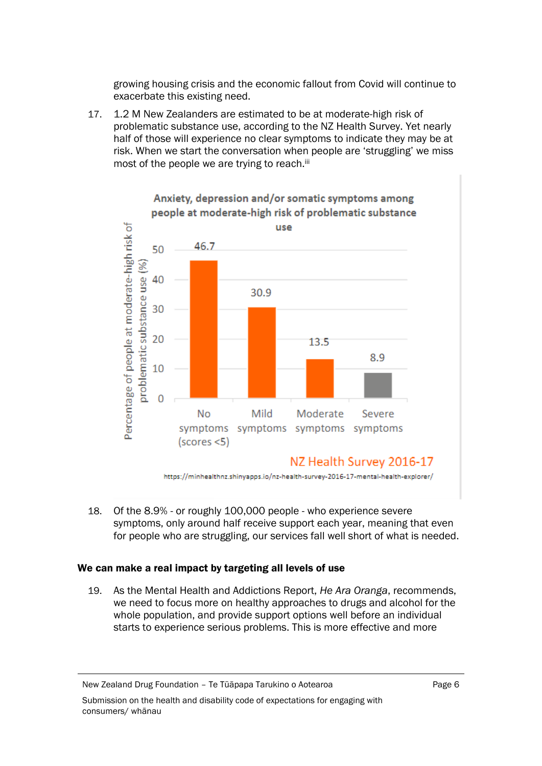growing housing crisis and the economic fallout from Covid will continue to exacerbate this existing need.

17. 1.2 M New Zealanders are estimated to be at moderate-high risk of problematic substance use, according to the NZ Health Survey. Yet nearly half of those will experience no clear symptoms to indicate they may be at risk. When we start the conversation when people are 'struggling' we miss most of the people we are trying to reach.<sup>iii</sup>



18. Of the 8.9% - or roughly 100,000 people - who experience severe symptoms, only around half receive support each year, meaning that even for people who are struggling, our services fall well short of what is needed.

### We can make a real impact by targeting all levels of use

19. As the Mental Health and Addictions Report, *He Ara Oranga*, recommends, we need to focus more on healthy approaches to drugs and alcohol for the whole population, and provide support options well before an individual starts to experience serious problems. This is more effective and more

New Zealand Drug Foundation – Te Tūāpapa Tarukino o Aotearoa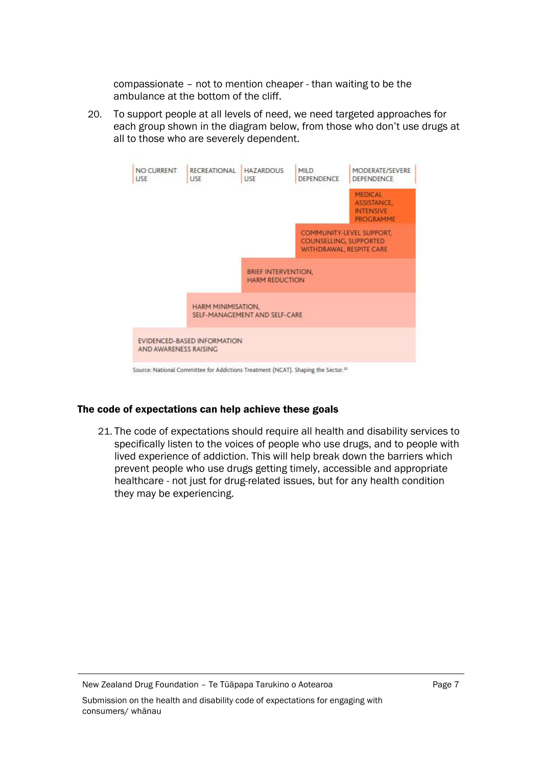compassionate – not to mention cheaper - than waiting to be the ambulance at the bottom of the cliff.

20. To support people at all levels of need, we need targeted approaches for each group shown in the diagram below, from those who don't use drugs at all to those who are severely dependent.



Source: National Committee for Addictions Treatment (NCAT). Shaping the Sector.<sup>35</sup>

### The code of expectations can help achieve these goals

21. The code of expectations should require all health and disability services to specifically listen to the voices of people who use drugs, and to people with lived experience of addiction. This will help break down the barriers which prevent people who use drugs getting timely, accessible and appropriate healthcare - not just for drug-related issues, but for any health condition they may be experiencing.

New Zealand Drug Foundation – Te Tūāpapa Tarukino o Aotearoa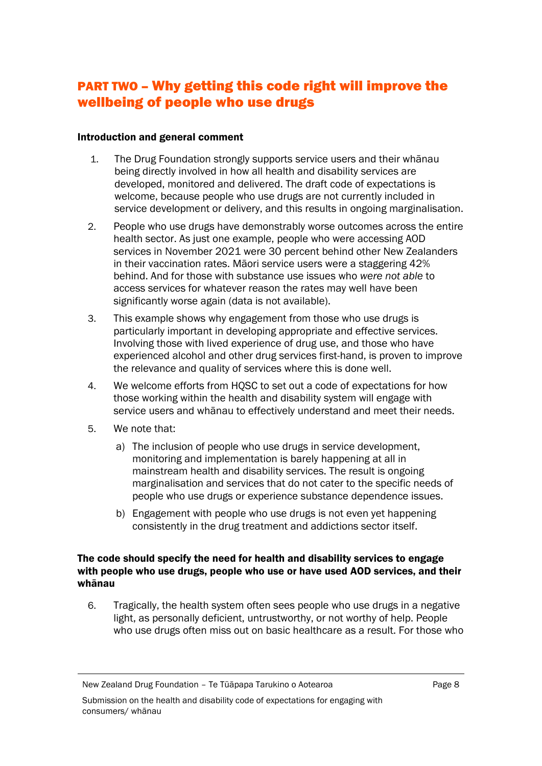## PART TWO – Why getting this code right will improve the wellbeing of people who use drugs

### Introduction and general comment

- 1. The Drug Foundation strongly supports service users and their whānau being directly involved in how all health and disability services are developed, monitored and delivered. The draft code of expectations is welcome, because people who use drugs are not currently included in service development or delivery, and this results in ongoing marginalisation.
- 2. People who use drugs have demonstrably worse outcomes across the entire health sector. As just one example, people who were accessing AOD services in November 2021 were 30 percent behind other New Zealanders in their vaccination rates. Māori service users were a staggering 42% behind. And for those with substance use issues who *were not able* to access services for whatever reason the rates may well have been significantly worse again (data is not available).
- 3. This example shows why engagement from those who use drugs is particularly important in developing appropriate and effective services. Involving those with lived experience of drug use, and those who have experienced alcohol and other drug services first-hand, is proven to improve the relevance and quality of services where this is done well.
- 4. We welcome efforts from HQSC to set out a code of expectations for how those working within the health and disability system will engage with service users and whānau to effectively understand and meet their needs.
- 5. We note that:
	- a) The inclusion of people who use drugs in service development, monitoring and implementation is barely happening at all in mainstream health and disability services. The result is ongoing marginalisation and services that do not cater to the specific needs of people who use drugs or experience substance dependence issues.
	- b) Engagement with people who use drugs is not even yet happening consistently in the drug treatment and addictions sector itself.

### The code should specify the need for health and disability services to engage with people who use drugs, people who use or have used AOD services, and their whānau

6. Tragically, the health system often sees people who use drugs in a negative light, as personally deficient, untrustworthy, or not worthy of help. People who use drugs often miss out on basic healthcare as a result. For those who

New Zealand Drug Foundation – Te Tūāpapa Tarukino o Aotearoa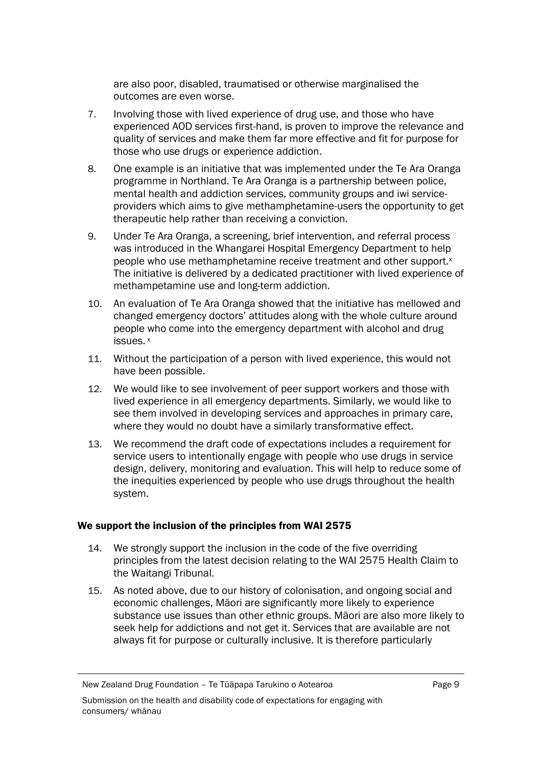are also poor, disabled, traumatised or otherwise marginalised the outcomes are even worse.

- 7. Involving those with lived experience of drug use, and those who have experienced AOD services first-hand, is proven to improve the relevance and quality of services and make them far more effective and fit for purpose for those who use drugs or experience addiction.
- 8. One example is an initiative that was implemented under the Te Ara Oranga programme in Northland. Te Ara Oranga is a partnership between police, mental health and addiction services, community groups and iwi serviceproviders which aims to give methamphetamine-users the opportunity to get therapeutic help rather than receiving a conviction.
- 9. Under Te Ara Oranga, a screening, brief intervention, and referral process was introduced in the Whangarei Hospital Emergency Department to help people who use methamphetamine receive treatment and other support.<sup>x</sup> The initiative is delivered by a dedicated practitioner with lived experience of methampetamine use and long-term addiction.
- 10. An evaluation of Te Ara Oranga showed that the initiative has mellowed and changed emergency doctors' attitudes along with the whole culture around people who come into the emergency department with alcohol and drug issues. <sup>x</sup>
- 11. Without the participation of a person with lived experience, this would not have been possible.
- 12. We would like to see involvement of peer support workers and those with lived experience in all emergency departments. Similarly, we would like to see them involved in developing services and approaches in primary care, where they would no doubt have a similarly transformative effect.
- 13. We recommend the draft code of expectations includes a requirement for service users to intentionally engage with people who use drugs in service design, delivery, monitoring and evaluation. This will help to reduce some of the inequities experienced by people who use drugs throughout the health system.

### We support the inclusion of the principles from WAI 2575

- 14. We strongly support the inclusion in the code of the five overriding principles from the latest decision relating to the WAI 2575 Health Claim to the Waitangi Tribunal.
- 15. As noted above, due to our history of colonisation, and ongoing social and economic challenges, Māori are significantly more likely to experience substance use issues than other ethnic groups. Māori are also more likely to seek help for addictions and not get it. Services that are available are not always fit for purpose or culturally inclusive. It is therefore particularly

New Zealand Drug Foundation – Te Tūāpapa Tarukino o Aotearoa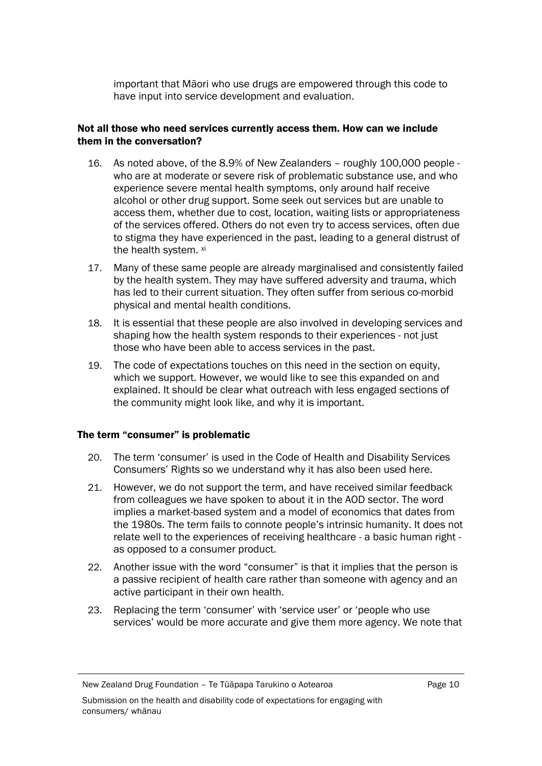important that Māori who use drugs are empowered through this code to have input into service development and evaluation.

### Not all those who need services currently access them. How can we include them in the conversation?

- 16. As noted above, of the 8.9% of New Zealanders roughly 100,000 people who are at moderate or severe risk of problematic substance use, and who experience severe mental health symptoms, only around half receive alcohol or other drug support. Some seek out services but are unable to access them, whether due to cost, location, waiting lists or appropriateness of the services offered. Others do not even try to access services, often due to stigma they have experienced in the past, leading to a general distrust of the health system. xi
- 17. Many of these same people are already marginalised and consistently failed by the health system. They may have suffered adversity and trauma, which has led to their current situation. They often suffer from serious co-morbid physical and mental health conditions.
- 18. It is essential that these people are also involved in developing services and shaping how the health system responds to their experiences - not just those who have been able to access services in the past.
- 19. The code of expectations touches on this need in the section on equity, which we support. However, we would like to see this expanded on and explained. It should be clear what outreach with less engaged sections of the community might look like, and why it is important.

### The term "consumer" is problematic

- 20. The term 'consumer' is used in the Code of Health and Disability Services Consumers' Rights so we understand why it has also been used here.
- 21. However, we do not support the term, and have received similar feedback from colleagues we have spoken to about it in the AOD sector. The word implies a market-based system and a model of economics that dates from the 1980s. The term fails to connote people's intrinsic humanity. It does not relate well to the experiences of receiving healthcare - a basic human right as opposed to a consumer product.
- 22. Another issue with the word "consumer" is that it implies that the person is a passive recipient of health care rather than someone with agency and an active participant in their own health.
- 23. Replacing the term 'consumer' with 'service user' or 'people who use services' would be more accurate and give them more agency. We note that

New Zealand Drug Foundation – Te Tūāpapa Tarukino o Aotearoa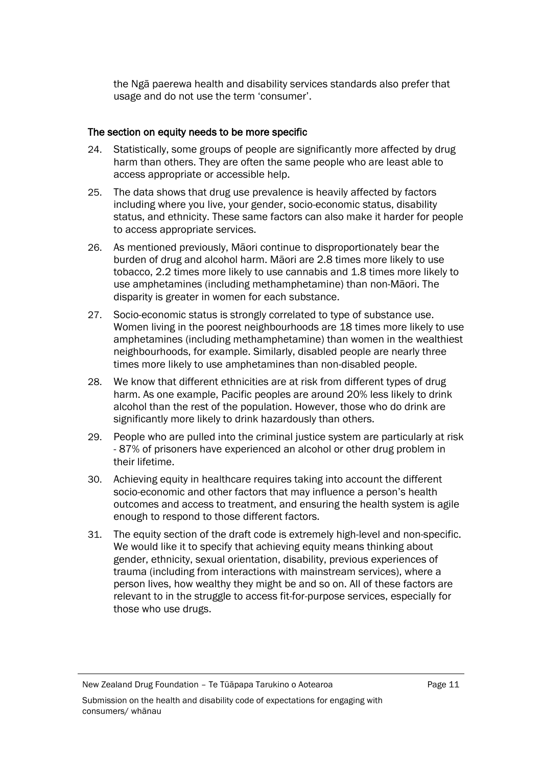the Ngā paerewa health and disability services standards also prefer that usage and do not use the term 'consumer'.

### The section on equity needs to be more specific

- 24. Statistically, some groups of people are significantly more affected by drug harm than others. They are often the same people who are least able to access appropriate or accessible help.
- 25. The data shows that drug use prevalence is heavily affected by factors including where you live, your gender, socio-economic status, disability status, and ethnicity. These same factors can also make it harder for people to access appropriate services.
- 26. As mentioned previously, Māori continue to disproportionately bear the burden of drug and alcohol harm. Māori are 2.8 times more likely to use tobacco, 2.2 times more likely to use cannabis and 1.8 times more likely to use amphetamines (including methamphetamine) than non-Māori. The disparity is greater in women for each substance.
- 27. Socio-economic status is strongly correlated to type of substance use. Women living in the poorest neighbourhoods are 18 times more likely to use amphetamines (including methamphetamine) than women in the wealthiest neighbourhoods, for example. Similarly, disabled people are nearly three times more likely to use amphetamines than non-disabled people.
- 28. We know that different ethnicities are at risk from different types of drug harm. As one example, Pacific peoples are around 20% less likely to drink alcohol than the rest of the population. However, those who do drink are significantly more likely to drink hazardously than others.
- 29. People who are pulled into the criminal justice system are particularly at risk - 87% of prisoners have experienced an alcohol or other drug problem in their lifetime.
- 30. Achieving equity in healthcare requires taking into account the different socio-economic and other factors that may influence a person's health outcomes and access to treatment, and ensuring the health system is agile enough to respond to those different factors.
- 31. The equity section of the draft code is extremely high-level and non-specific. We would like it to specify that achieving equity means thinking about gender, ethnicity, sexual orientation, disability, previous experiences of trauma (including from interactions with mainstream services), where a person lives, how wealthy they might be and so on. All of these factors are relevant to in the struggle to access fit-for-purpose services, especially for those who use drugs.

New Zealand Drug Foundation – Te Tūāpapa Tarukino o Aotearoa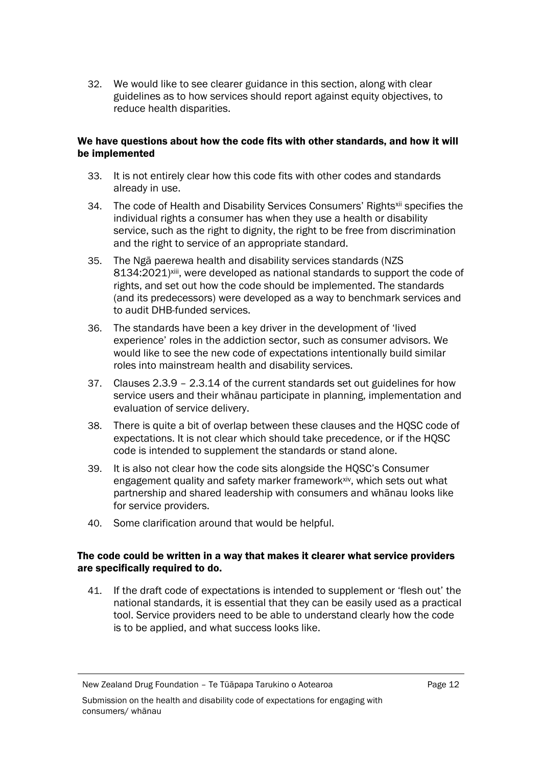32. We would like to see clearer guidance in this section, along with clear guidelines as to how services should report against equity objectives, to reduce health disparities.

### We have questions about how the code fits with other standards, and how it will be implemented

- 33. It is not entirely clear how this code fits with other codes and standards already in use.
- 34. The code of Health and Disability Services Consumers' Rights<sup>xii</sup> specifies the individual rights a consumer has when they use a health or disability service, such as the right to dignity, the right to be free from discrimination and the right to service of an appropriate standard.
- 35. The Ngā paerewa health and disability services standards (NZS 8134:2021)xiii, were developed as national standards to support the code of rights, and set out how the code should be implemented. The standards (and its predecessors) were developed as a way to benchmark services and to audit DHB-funded services.
- 36. The standards have been a key driver in the development of 'lived experience' roles in the addiction sector, such as consumer advisors. We would like to see the new code of expectations intentionally build similar roles into mainstream health and disability services.
- 37. Clauses 2.3.9 2.3.14 of the current standards set out guidelines for how service users and their whānau participate in planning, implementation and evaluation of service delivery.
- 38. There is quite a bit of overlap between these clauses and the HQSC code of expectations. It is not clear which should take precedence, or if the HQSC code is intended to supplement the standards or stand alone.
- 39. It is also not clear how the code sits alongside the HQSC's Consumer engagement quality and safety marker frameworkxiv, which sets out what partnership and shared leadership with consumers and whānau looks like for service providers.
- 40. Some clarification around that would be helpful.

### The code could be written in a way that makes it clearer what service providers are specifically required to do.

41. If the draft code of expectations is intended to supplement or 'flesh out' the national standards, it is essential that they can be easily used as a practical tool. Service providers need to be able to understand clearly how the code is to be applied, and what success looks like.

New Zealand Drug Foundation – Te Tūāpapa Tarukino o Aotearoa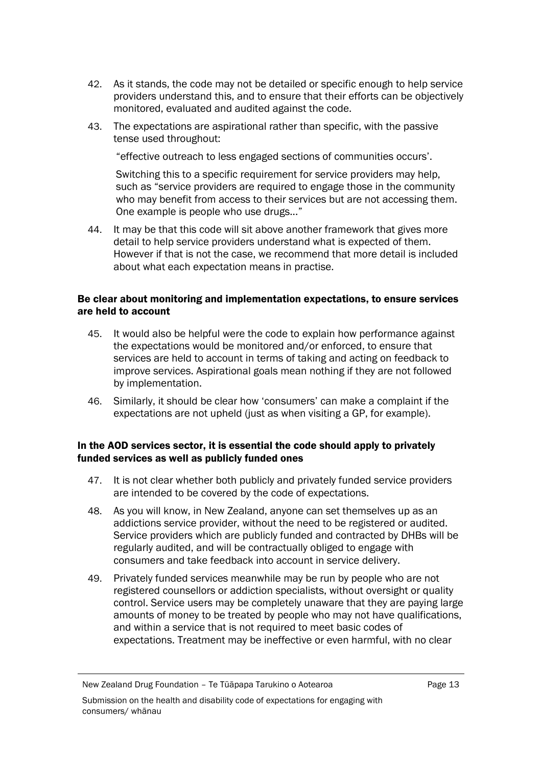- 42. As it stands, the code may not be detailed or specific enough to help service providers understand this, and to ensure that their efforts can be objectively monitored, evaluated and audited against the code.
- 43. The expectations are aspirational rather than specific, with the passive tense used throughout:

"effective outreach to less engaged sections of communities occurs'.

Switching this to a specific requirement for service providers may help, such as "service providers are required to engage those in the community who may benefit from access to their services but are not accessing them. One example is people who use drugs..."

44. It may be that this code will sit above another framework that gives more detail to help service providers understand what is expected of them. However if that is not the case, we recommend that more detail is included about what each expectation means in practise.

### Be clear about monitoring and implementation expectations, to ensure services are held to account

- 45. It would also be helpful were the code to explain how performance against the expectations would be monitored and/or enforced, to ensure that services are held to account in terms of taking and acting on feedback to improve services. Aspirational goals mean nothing if they are not followed by implementation.
- 46. Similarly, it should be clear how 'consumers' can make a complaint if the expectations are not upheld (just as when visiting a GP, for example).

### In the AOD services sector, it is essential the code should apply to privately funded services as well as publicly funded ones

- 47. It is not clear whether both publicly and privately funded service providers are intended to be covered by the code of expectations.
- 48. As you will know, in New Zealand, anyone can set themselves up as an addictions service provider, without the need to be registered or audited. Service providers which are publicly funded and contracted by DHBs will be regularly audited, and will be contractually obliged to engage with consumers and take feedback into account in service delivery.
- 49. Privately funded services meanwhile may be run by people who are not registered counsellors or addiction specialists, without oversight or quality control. Service users may be completely unaware that they are paying large amounts of money to be treated by people who may not have qualifications, and within a service that is not required to meet basic codes of expectations. Treatment may be ineffective or even harmful, with no clear

New Zealand Drug Foundation – Te Tūāpapa Tarukino o Aotearoa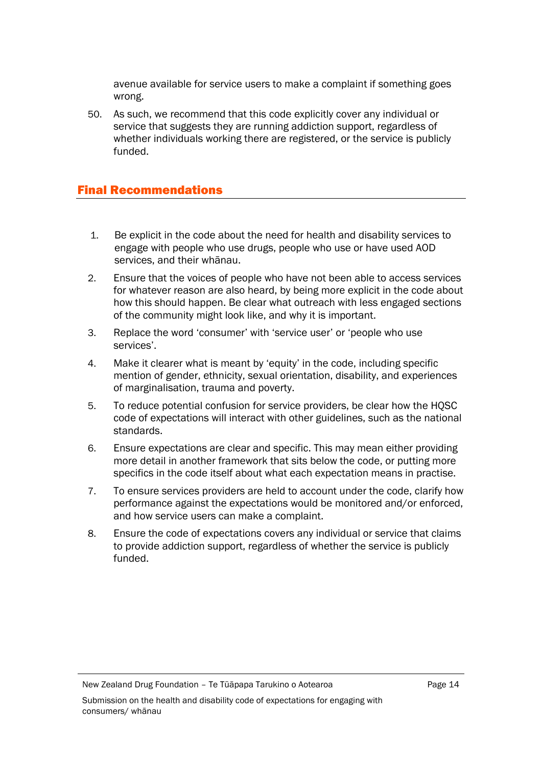avenue available for service users to make a complaint if something goes wrong.

50. As such, we recommend that this code explicitly cover any individual or service that suggests they are running addiction support, regardless of whether individuals working there are registered, or the service is publicly funded.

### Final Recommendations

- 1. Be explicit in the code about the need for health and disability services to engage with people who use drugs, people who use or have used AOD services, and their whānau.
- 2. Ensure that the voices of people who have not been able to access services for whatever reason are also heard, by being more explicit in the code about how this should happen. Be clear what outreach with less engaged sections of the community might look like, and why it is important.
- 3. Replace the word 'consumer' with 'service user' or 'people who use services'.
- 4. Make it clearer what is meant by 'equity' in the code, including specific mention of gender, ethnicity, sexual orientation, disability, and experiences of marginalisation, trauma and poverty.
- 5. To reduce potential confusion for service providers, be clear how the HQSC code of expectations will interact with other guidelines, such as the national standards.
- 6. Ensure expectations are clear and specific. This may mean either providing more detail in another framework that sits below the code, or putting more specifics in the code itself about what each expectation means in practise.
- 7. To ensure services providers are held to account under the code, clarify how performance against the expectations would be monitored and/or enforced, and how service users can make a complaint.
- 8. Ensure the code of expectations covers any individual or service that claims to provide addiction support, regardless of whether the service is publicly funded.